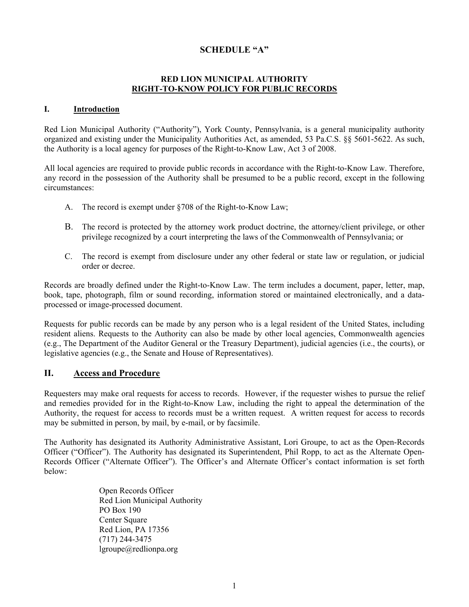## **SCHEDULE "A"**

### **RED LION MUNICIPAL AUTHORITY RIGHT-TO-KNOW POLICY FOR PUBLIC RECORDS**

#### **I. Introduction**

Red Lion Municipal Authority ("Authority"), York County, Pennsylvania, is a general municipality authority organized and existing under the Municipality Authorities Act, as amended, 53 Pa.C.S. §§ 5601-5622. As such, the Authority is a local agency for purposes of the Right-to-Know Law, Act 3 of 2008.

All local agencies are required to provide public records in accordance with the Right-to-Know Law. Therefore, any record in the possession of the Authority shall be presumed to be a public record, except in the following circumstances:

- A. The record is exempt under §708 of the Right-to-Know Law;
- B. The record is protected by the attorney work product doctrine, the attorney/client privilege, or other privilege recognized by a court interpreting the laws of the Commonwealth of Pennsylvania; or
- C. The record is exempt from disclosure under any other federal or state law or regulation, or judicial order or decree.

Records are broadly defined under the Right-to-Know Law. The term includes a document, paper, letter, map, book, tape, photograph, film or sound recording, information stored or maintained electronically, and a dataprocessed or image-processed document.

Requests for public records can be made by any person who is a legal resident of the United States, including resident aliens. Requests to the Authority can also be made by other local agencies, Commonwealth agencies (e.g., The Department of the Auditor General or the Treasury Department), judicial agencies (i.e., the courts), or legislative agencies (e.g., the Senate and House of Representatives).

### **II. Access and Procedure**

Requesters may make oral requests for access to records. However, if the requester wishes to pursue the relief and remedies provided for in the Right-to-Know Law, including the right to appeal the determination of the Authority, the request for access to records must be a written request. A written request for access to records may be submitted in person, by mail, by e-mail, or by facsimile.

The Authority has designated its Authority Administrative Assistant, Lori Groupe, to act as the Open-Records Officer ("Officer"). The Authority has designated its Superintendent, Phil Ropp, to act as the Alternate Open-Records Officer ("Alternate Officer"). The Officer's and Alternate Officer's contact information is set forth below:

> Open Records Officer Red Lion Municipal Authority PO Box 190 Center Square Red Lion, PA 17356 (717) 244-3475 lgroupe@redlionpa.org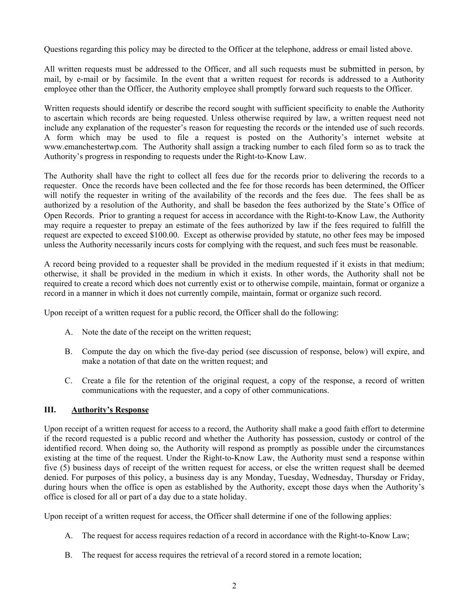Questions regarding this policy may be directed to the Officer at the telephone, address or email listed above.

All written requests must be addressed to the Officer, and all such requests must be submitted in person, by mail, by e-mail or by facsimile. In the event that a written request for records is addressed to a Authority employee other than the Officer, the Authority employee shall promptly forward such requests to the Officer.

Written requests should identify or describe the record sought with sufficient specificity to enable the Authority to ascertain which records are being requested. Unless otherwise required by law, a written request need not include any explanation of the requester's reason for requesting the records or the intended use of such records. A form which may be used to file a request is posted on the Authority's internet website at www.emanchestertwp.com. The Authority shall assign a tracking number to each filed form so as to track the Authority's progress in responding to requests under the Right-to-Know Law.

The Authority shall have the right to collect all fees due for the records prior to delivering the records to a requester. Once the records have been collected and the fee for those records has been determined, the Officer will notify the requester in writing of the availability of the records and the fees due. The fees shall be as authorized by a resolution of the Authority, and shall be basedon the fees authorized by the State's Office of Open Records. Prior to granting a request for access in accordance with the Right-to-Know Law, the Authority may require a requester to prepay an estimate of the fees authorized by law if the fees required to fulfill the request are expected to exceed \$100.00. Except as otherwise provided by statute, no other fees may be imposed unless the Authority necessarily incurs costs for complying with the request, and such fees must be reasonable.

A record being provided to a requester shall be provided in the medium requested if it exists in that medium; otherwise, it shall be provided in the medium in which it exists. In other words, the Authority shall not be required to create a record which does not currently exist or to otherwise compile, maintain, format or organize a record in a manner in which it does not currently compile, maintain, format or organize such record.

Upon receipt of a written request for a public record, the Officer shall do the following:

- A. Note the date of the receipt on the written request;
- B. Compute the day on which the five-day period (see discussion of response, below) will expire, and make a notation of that date on the written request; and
- C. Create a file for the retention of the original request, a copy of the response, a record of written communications with the requester, and a copy of other communications.

### **III. Authority's Response**

Upon receipt of a written request for access to a record, the Authority shall make a good faith effort to determine if the record requested is a public record and whether the Authority has possession, custody or control of the identified record. When doing so, the Authority will respond as promptly as possible under the circumstances existing at the time of the request. Under the Right-to-Know Law, the Authority must send a response within five (5) business days of receipt of the written request for access, or else the written request shall be deemed denied. For purposes of this policy, a business day is any Monday, Tuesday, Wednesday, Thursday or Friday, during hours when the office is open as established by the Authority, except those days when the Authority's office is closed for all or part of a day due to a state holiday.

Upon receipt of a written request for access, the Officer shall determine if one of the following applies:

- A. The request for access requires redaction of a record in accordance with the Right-to-Know Law;
- B. The request for access requires the retrieval of a record stored in a remote location;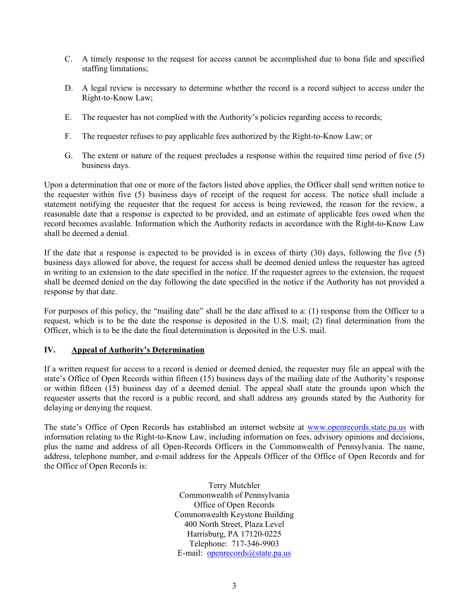- C. A timely response to the request for access cannot be accomplished due to bona fide and specified staffing limitations;
- D. A legal review is necessary to determine whether the record is a record subject to access under the Right-to-Know Law;
- E. The requester has not complied with the Authority's policies regarding access to records;
- F. The requester refuses to pay applicable fees authorized by the Right-to-Know Law; or
- G. The extent or nature of the request precludes a response within the required time period of five (5) business days.

Upon a determination that one or more of the factors listed above applies, the Officer shall send written notice to the requester within five (5) business days of receipt of the request for access. The notice shall include a statement notifying the requester that the request for access is being reviewed, the reason for the review, a reasonable date that a response is expected to be provided, and an estimate of applicable fees owed when the record becomes available. Information which the Authority redacts in accordance with the Right-to-Know Law shall be deemed a denial.

If the date that a response is expected to be provided is in excess of thirty (30) days, following the five (5) business days allowed for above, the request for access shall be deemed denied unless the requester has agreed in writing to an extension to the date specified in the notice. If the requester agrees to the extension, the request shall be deemed denied on the day following the date specified in the notice if the Authority has not provided a response by that date.

For purposes of this policy, the "mailing date" shall be the date affixed to a: (1) response from the Officer to a request, which is to be the date the response is deposited in the U.S. mail; (2) final determination from the Officer, which is to be the date the final determination is deposited in the U.S. mail.

### **IV. Appeal of Authority's Determination**

If a written request for access to a record is denied or deemed denied, the requester may file an appeal with the state's Office of Open Records within fifteen (15) business days of the mailing date of the Authority's response or within fifteen (15) business day of a deemed denial. The appeal shall state the grounds upon which the requester asserts that the record is a public record, and shall address any grounds stated by the Authority for delaying or denying the request.

The state's Office of Open Records has established an internet website at www.openrecords.state.pa.us with information relating to the Right-to-Know Law, including information on fees, advisory opinions and decisions, plus the name and address of all Open-Records Officers in the Commonwealth of Pennsylvania. The name, address, telephone number, and e-mail address for the Appeals Officer of the Office of Open Records and for the Office of Open Records is:

> Terry Mutchler Commonwealth of Pennsylvania Office of Open Records Commonwealth Keystone Building 400 North Street, Plaza Level Harrisburg, PA 17120-0225 Telephone: 717-346-9903 E-mail: openrecords@state.pa.us